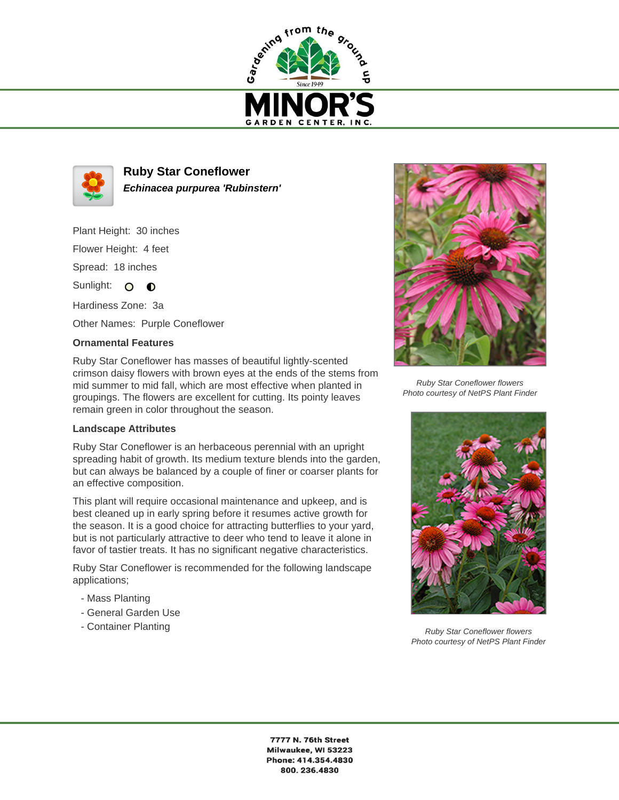



**Ruby Star Coneflower Echinacea purpurea 'Rubinstern'**

Plant Height: 30 inches Flower Height: 4 feet

Spread: 18 inches

Sunlight: O O

Hardiness Zone: 3a

Other Names: Purple Coneflower

## **Ornamental Features**

Ruby Star Coneflower has masses of beautiful lightly-scented crimson daisy flowers with brown eyes at the ends of the stems from mid summer to mid fall, which are most effective when planted in groupings. The flowers are excellent for cutting. Its pointy leaves remain green in color throughout the season.

## **Landscape Attributes**

Ruby Star Coneflower is an herbaceous perennial with an upright spreading habit of growth. Its medium texture blends into the garden, but can always be balanced by a couple of finer or coarser plants for an effective composition.

This plant will require occasional maintenance and upkeep, and is best cleaned up in early spring before it resumes active growth for the season. It is a good choice for attracting butterflies to your yard, but is not particularly attractive to deer who tend to leave it alone in favor of tastier treats. It has no significant negative characteristics.

Ruby Star Coneflower is recommended for the following landscape applications;

- Mass Planting
- General Garden Use
- Container Planting



Ruby Star Coneflower flowers Photo courtesy of NetPS Plant Finder



Ruby Star Coneflower flowers Photo courtesy of NetPS Plant Finder